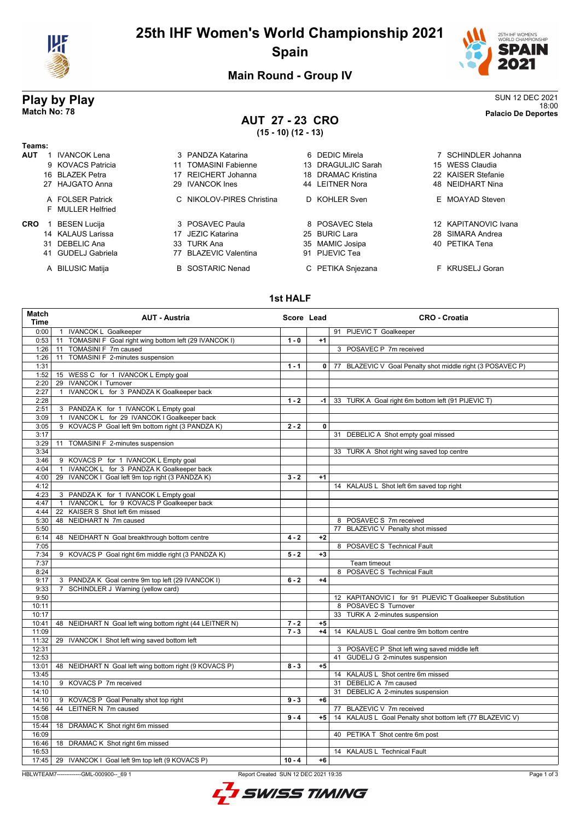

# **25th IHF Women's World Championship 2021 Spain**



**Main Round - Group IV**

## **AUT 27 - 23 CRO (15 - 10) (12 - 13)**

**Play by Play** SUN 12 DEC 2021 18:00 **Match No: 78 Palacio De Deportes**

| Teams:     |    |                                        |     |                           |    |                    |                      |
|------------|----|----------------------------------------|-----|---------------------------|----|--------------------|----------------------|
| <b>AUT</b> |    | <b>IVANCOK Lena</b>                    |     | 3 PANDZA Katarina         |    | 6 DEDIC Mirela     | 7 SCHINDLER Johanna  |
|            |    | 9 KOVACS Patricia                      | 11  | <b>TOMASINI Fabienne</b>  |    | 13 DRAGULJIC Sarah | 15 WESS Claudia      |
|            |    | 16 BLAZEK Petra                        |     | REICHERT Johanna          |    | 18 DRAMAC Kristina | 22 KAISER Stefanie   |
|            |    | 27 HAJGATO Anna                        | 29  | <b>IVANCOK Ines</b>       |    | 44 LEITNER Nora    | 48 NEIDHART Nina     |
|            |    | A FOI SER Patrick<br>F MULLER Helfried |     | C NIKOLOV-PIRES Christina |    | D KOHLER Sven      | E MOAYAD Steven      |
| <b>CRO</b> |    | <b>BESEN Lucija</b>                    |     | 3 POSAVEC Paula           |    | 8 POSAVEC Stela    | 12 KAPITANOVIC Ivana |
|            |    | 14 KALAUS Larissa                      |     | 17 JEZIC Katarina         |    | 25 BURIC Lara      | 28 SIMARA Andrea     |
|            | 31 | DEBELIC Ana                            | 33. | TURK Ana                  | 35 | MAMIC Josipa       | 40 PETIKA Tena       |
|            | 41 | <b>GUDELJ Gabriela</b>                 |     | <b>BLAZEVIC Valentina</b> |    | 91 PIJEVIC Tea     |                      |
|            |    | A BILUSIC Matija                       |     | <b>B</b> SOSTARIC Nenad   |    | C PETIKA Snjezana  | F KRUSELJ Goran      |

### **1st HALF**

| Match<br><b>Time</b> | <b>AUT - Austria</b>                                       | Score Lead |              | <b>CRO - Croatia</b>                                       |
|----------------------|------------------------------------------------------------|------------|--------------|------------------------------------------------------------|
| 0:00                 | 1 IVANCOK L Goalkeeper                                     |            |              | 91 PIJEVIC T Goalkeeper                                    |
| 0:53                 | 11 TOMASINI F Goal right wing bottom left (29 IVANCOK I)   | $1 - 0$    | $+1$         |                                                            |
| 1:26                 | TOMASINI F 7m caused<br>11                                 |            |              | 3 POSAVEC P 7m received                                    |
| 1:26                 | TOMASINI F 2-minutes suspension<br>11                      |            |              |                                                            |
| 1:31                 |                                                            | $1 - 1$    | $\mathbf{0}$ | 77 BLAZEVIC V Goal Penalty shot middle right (3 POSAVEC P) |
| 1:52                 | 15 WESS C for 1 IVANCOK L Empty goal                       |            |              |                                                            |
| 2:20                 | 29 IVANCOK I Turnover                                      |            |              |                                                            |
| 2:27                 | IVANCOK L for 3 PANDZA K Goalkeeper back<br>$\mathbf{1}$   |            |              |                                                            |
| 2:28                 |                                                            | $1 - 2$    | $-1$         | 33 TURK A Goal right 6m bottom left (91 PIJEVIC T)         |
| 2:51                 | 3 PANDZA K for 1 IVANCOK L Empty goal                      |            |              |                                                            |
| 3:09                 | IVANCOK L for 29 IVANCOK I Goalkeeper back<br>$\mathbf{1}$ |            |              |                                                            |
| 3:05                 | KOVACS P Goal left 9m bottom right (3 PANDZA K)<br>9       | $2 - 2$    | 0            |                                                            |
| 3:17                 |                                                            |            |              | 31 DEBELIC A Shot empty goal missed                        |
| 3:29                 | 11 TOMASINI F 2-minutes suspension                         |            |              |                                                            |
| 3:34                 |                                                            |            |              | 33 TURK A Shot right wing saved top centre                 |
| 3:46                 | 9 KOVACS P for 1 IVANCOK L Empty goal                      |            |              |                                                            |
| 4:04                 | IVANCOK L for 3 PANDZA K Goalkeeper back<br>$\mathbf{1}$   |            |              |                                                            |
| 4:00                 | 29 IVANCOK I Goal left 9m top right (3 PANDZA K)           | $3 - 2$    | $+1$         |                                                            |
| 4:12                 |                                                            |            |              | 14 KALAUS L Shot left 6m saved top right                   |
| 4:23                 | 3 PANDZA K for 1 IVANCOK L Empty goal                      |            |              |                                                            |
| 4:47                 | IVANCOK L for 9 KOVACS P Goalkeeper back<br>$\mathbf{1}$   |            |              |                                                            |
| 4:44                 | 22 KAISER S Shot left 6m missed                            |            |              |                                                            |
| 5:30                 | 48 NEIDHART N 7m caused                                    |            |              | 8 POSAVEC S 7m received                                    |
| 5:50                 |                                                            |            |              | 77 BLAZEVIC V Penalty shot missed                          |
| 6:14                 | 48 NEIDHART N Goal breakthrough bottom centre              | $4 - 2$    | $+2$         |                                                            |
| 7:05                 |                                                            |            |              | 8 POSAVEC S Technical Fault                                |
| 7:34                 | 9 KOVACS P Goal right 6m middle right (3 PANDZA K)         | $5 - 2$    | $+3$         |                                                            |
| 7:37                 |                                                            |            |              | Team timeout                                               |
| 8:24                 |                                                            |            |              | 8 POSAVEC S Technical Fault                                |
| 9:17                 | 3 PANDZA K Goal centre 9m top left (29 IVANCOK I)          | $6 - 2$    | $+4$         |                                                            |
| 9:33                 | SCHINDLER J Warning (yellow card)<br>$\overline{7}$        |            |              |                                                            |
| 9:50                 |                                                            |            |              | 12 KAPITANOVIC I for 91 PIJEVIC T Goalkeeper Substitution  |
| 10:11                |                                                            |            |              | 8 POSAVEC S Turnover                                       |
| 10:17                |                                                            |            |              | 33 TURK A 2-minutes suspension                             |
| 10:41                | 48 NEIDHART N Goal left wing bottom right (44 LEITNER N)   | $7 - 2$    | $+5$         |                                                            |
| 11:09                |                                                            | $7 - 3$    | $+4$         | 14 KALAUS L Goal centre 9m bottom centre                   |
| 11:32                | 29 IVANCOK I Shot left wing saved bottom left              |            |              |                                                            |
| 12:31                |                                                            |            |              | 3 POSAVEC P Shot left wing saved middle left               |
| 12:53                |                                                            |            |              | 41 GUDELJ G 2-minutes suspension                           |
| 13:01                | 48 NEIDHART N Goal left wing bottom right (9 KOVACS P)     | $8 - 3$    | $+5$         |                                                            |
| 13:45                |                                                            |            |              | 14 KALAUS L Shot centre 6m missed                          |
| 14:10                | 9 KOVACS P 7m received                                     |            |              | 31 DEBELIC A 7m caused                                     |
| 14:10                |                                                            |            |              | 31 DEBELIC A 2-minutes suspension                          |
| 14:10                | 9 KOVACS P Goal Penalty shot top right                     | $9 - 3$    | $+6$         |                                                            |
| 14:56                | 44 LEITNER N 7m caused                                     |            |              | 77 BLAZEVIC V 7m received                                  |
| 15:08                |                                                            | $9 - 4$    | $+5$         | 14 KALAUS L Goal Penalty shot bottom left (77 BLAZEVIC V)  |
| 15:44                | 18 DRAMAC K Shot right 6m missed                           |            |              |                                                            |
| 16:09                |                                                            |            |              | 40 PETIKA T Shot centre 6m post                            |
| 16:46                | 18 DRAMAC K Shot right 6m missed                           |            |              |                                                            |
| 16:53                |                                                            |            |              | 14 KALAUS L Technical Fault                                |
| 17:45                | 29 IVANCOK I Goal left 9m top left (9 KOVACS P)            | $10 - 4$   | $+6$         |                                                            |

HBLWTEAM7-------------GML-000900--\_69 1 Report Created SUN 12 DEC 2021 19:35

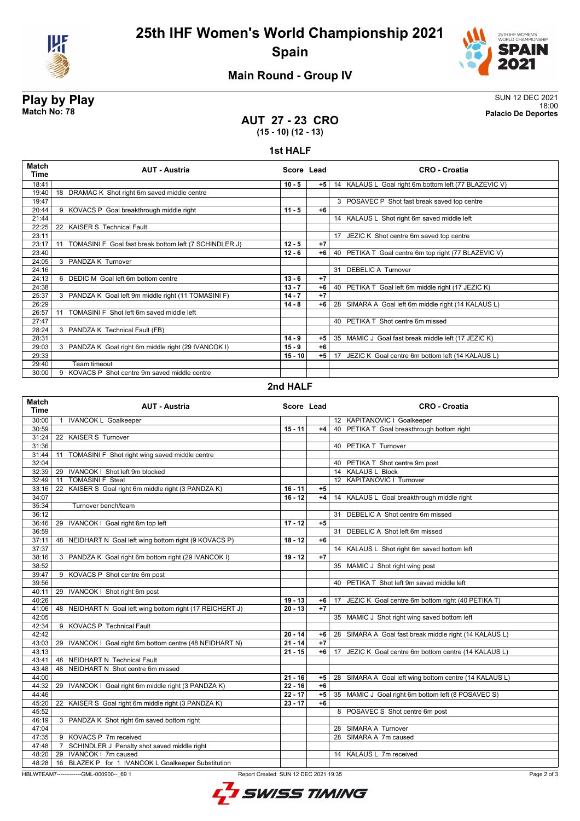



## **Main Round - Group IV**

**Play by Play** SUN 12 DEC 2021 18:00 **Match No: 78 Palacio De Deportes**

## **AUT 27 - 23 CRO (15 - 10) (12 - 13)**

#### **1st HALF**

| Match<br>Time | <b>AUT - Austria</b>                                         | Score Lead |      | <b>CRO - Croatia</b>                                  |
|---------------|--------------------------------------------------------------|------------|------|-------------------------------------------------------|
| 18:41         |                                                              | $10 - 5$   | $+5$ | 14 KALAUS L Goal right 6m bottom left (77 BLAZEVIC V) |
| 19:40         | 18 DRAMAC K Shot right 6m saved middle centre                |            |      |                                                       |
| 19:47         |                                                              |            |      | 3 POSAVEC P Shot fast break saved top centre          |
| 20:44         | 9 KOVACS P Goal breakthrough middle right                    | $11 - 5$   | $+6$ |                                                       |
| 21:44         |                                                              |            |      | 14 KALAUS L Shot right 6m saved middle left           |
| 22:25         | 22 KAISER S Technical Fault                                  |            |      |                                                       |
| 23:11         |                                                              |            |      | 17 JEZIC K Shot centre 6m saved top centre            |
| 23:17         | TOMASINI F Goal fast break bottom left (7 SCHINDLER J)<br>11 | $12 - 5$   | $+7$ |                                                       |
| 23:40         |                                                              | $12 - 6$   | $+6$ | 40 PETIKA T Goal centre 6m top right (77 BLAZEVIC V)  |
| 24:05         | 3 PANDZA K Turnover                                          |            |      |                                                       |
| 24:16         |                                                              |            |      | 31 DEBELIC A Turnover                                 |
| 24:13         | 6 DEDIC M Goal left 6m bottom centre                         | $13 - 6$   | $+7$ |                                                       |
| 24:38         |                                                              | $13 - 7$   | $+6$ | 40 PETIKA T Goal left 6m middle right (17 JEZIC K)    |
| 25:37         | 3 PANDZA K Goal left 9m middle right (11 TOMASINI F)         | $14 - 7$   | $+7$ |                                                       |
| 26:29         |                                                              | $14 - 8$   | $+6$ | 28 SIMARA A Goal left 6m middle right (14 KALAUS L)   |
| 26:57         | TOMASINI F Shot left 6m saved middle left<br>11              |            |      |                                                       |
| 27:47         |                                                              |            |      | 40 PETIKA T Shot centre 6m missed                     |
| 28:24         | 3 PANDZA K Technical Fault (FB)                              |            |      |                                                       |
| 28:31         |                                                              | $14 - 9$   | $+5$ | 35 MAMIC J Goal fast break middle left (17 JEZIC K)   |
| 29:03         | 3 PANDZA K Goal right 6m middle right (29 IVANCOK I)         | $15 - 9$   | $+6$ |                                                       |
| 29:33         |                                                              | $15 - 10$  | $+5$ | 17 JEZIC K Goal centre 6m bottom left (14 KALAUS L)   |
| 29:40         | Team timeout                                                 |            |      |                                                       |
| 30:00         | KOVACS P Shot centre 9m saved middle centre<br>9             |            |      |                                                       |

### **2nd HALF**

| Match<br><b>Time</b> | <b>AUT - Austria</b>                                      | Score Lead |      | <b>CRO - Croatia</b>                                     |
|----------------------|-----------------------------------------------------------|------------|------|----------------------------------------------------------|
| 30:00                | <b>IVANCOK L Goalkeeper</b><br>$\mathbf{1}$               |            |      | 12 KAPITANOVIC I Goalkeeper                              |
| 30:59                |                                                           | $15 - 11$  | +4   | 40 PETIKA T Goal breakthrough bottom right               |
| 31:24                | 22 KAISER S Turnover                                      |            |      |                                                          |
| 31:36                |                                                           |            |      | 40 PETIKA T Turnover                                     |
| 31:44                | TOMASINI F Shot right wing saved middle centre<br>11      |            |      |                                                          |
| 32:04                |                                                           |            |      | 40 PETIKA T Shot centre 9m post                          |
| 32:39                | IVANCOK I Shot left 9m blocked<br>29                      |            |      | 14 KALAUS L Block                                        |
| 32:49                | <b>TOMASINI F Steal</b><br>11                             |            |      | 12 KAPITANOVIC I Turnover                                |
| 33:16                | KAISER S Goal right 6m middle right (3 PANDZA K)<br>22    | $16 - 11$  | $+5$ |                                                          |
| 34:07                |                                                           | $16 - 12$  | +4   | 14 KALAUS L Goal breakthrough middle right               |
| 35:34                | Turnover bench/team                                       |            |      |                                                          |
| 36:12                |                                                           |            |      | 31 DEBELIC A Shot centre 6m missed                       |
| 36:46                | IVANCOK I Goal right 6m top left<br>29                    | $17 - 12$  | $+5$ |                                                          |
| 36:59                |                                                           |            |      | 31 DEBELIC A Shot left 6m missed                         |
| 37:11                | NEIDHART N Goal left wing bottom right (9 KOVACS P)<br>48 | $18 - 12$  | $+6$ |                                                          |
| 37:37                |                                                           |            |      | 14 KALAUS L Shot right 6m saved bottom left              |
| 38:16                | 3 PANDZA K Goal right 6m bottom right (29 IVANCOK I)      | $19 - 12$  | $+7$ |                                                          |
| 38:52                |                                                           |            |      | 35 MAMIC J Shot right wing post                          |
| 39:47                | 9 KOVACS P Shot centre 6m post                            |            |      |                                                          |
| 39:56                |                                                           |            |      | 40 PETIKA T Shot left 9m saved middle left               |
| 40:11                | 29 IVANCOK I Shot right 6m post                           |            |      |                                                          |
| 40:26                |                                                           | $19 - 13$  | +6   | JEZIC K Goal centre 6m bottom right (40 PETIKA T)<br>17  |
| 41:06                | 48 NEIDHART N Goal left wing bottom right (17 REICHERT J) | $20 - 13$  | $+7$ |                                                          |
| 42:05                |                                                           |            |      | 35 MAMIC J Shot right wing saved bottom left             |
| 42:34                | 9 KOVACS P Technical Fault                                |            |      |                                                          |
| 42:42                |                                                           | $20 - 14$  | +6   | 28 SIMARA A Goal fast break middle right (14 KALAUS L)   |
| 43:03                | 29 IVANCOK I Goal right 6m bottom centre (48 NEIDHART N)  | $21 - 14$  | $+7$ |                                                          |
| 43:13                |                                                           | $21 - 15$  | +6   | JEZIC K Goal centre 6m bottom centre (14 KALAUS L)<br>17 |
| 43:41                | 48 NEIDHART N Technical Fault                             |            |      |                                                          |
| 43:48                | 48 NEIDHART N Shot centre 6m missed                       |            |      |                                                          |
| 44:00                |                                                           | $21 - 16$  | +5   | 28 SIMARA A Goal left wing bottom centre (14 KALAUS L)   |
| 44:32                | 29 IVANCOK I Goal right 6m middle right (3 PANDZA K)      | $22 - 16$  | $+6$ |                                                          |
| 44:46                |                                                           | $22 - 17$  | $+5$ | 35 MAMIC J Goal right 6m bottom left (8 POSAVEC S)       |
| 45:20                | 22 KAISER S Goal right 6m middle right (3 PANDZA K)       | $23 - 17$  | $+6$ |                                                          |
| 45:52                |                                                           |            |      | 8 POSAVEC S Shot centre 6m post                          |
| 46:19                | 3 PANDZA K Shot right 6m saved bottom right               |            |      |                                                          |
| 47:04                |                                                           |            |      | 28 SIMARA A Turnover                                     |
| 47:35                | 9 KOVACS P 7m received                                    |            |      | 28 SIMARA A 7m caused                                    |
| 47:48                | SCHINDLER J Penalty shot saved middle right               |            |      |                                                          |
| 48:20                | 29 IVANCOK   7m caused                                    |            |      | 14 KALAUS L 7m received                                  |
| 48:28                | 16 BLAZEK P for 1 IVANCOK L Goalkeeper Substitution       |            |      |                                                          |

HBLWTEAM7-------------GML-000900--\_69 1 Report Created SUN 12 DEC 2021 19:35